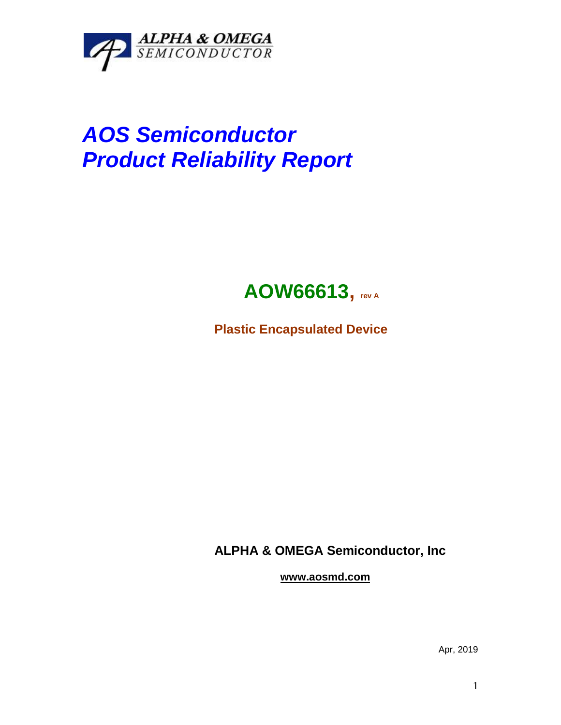

## *AOS Semiconductor Product Reliability Report*



**Plastic Encapsulated Device**

**ALPHA & OMEGA Semiconductor, Inc**

**www.aosmd.com**

Apr, 2019